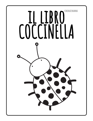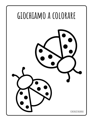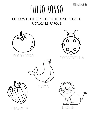## TUTTO ROSSO

COLORA TUTTE LE "COSE" CHE SONO ROSSE E RICALCA LE PAROLE



POMODORO





FOCA





FRAGOLA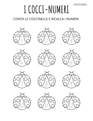# **I COCCI-NUMERI**

### CONTA LE COCCINELLE E RICALCA I NUMERI























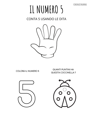## **IL NUMERO 5**

CONTA 5 USANDO LE DITA



**COLORA IL NUMERO 5**

**QUANTI PUNTINI HA QUESTA COCCINELLA ?**



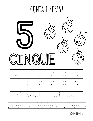### **CONTA E SCRIVI**

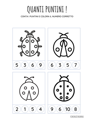## **QUANTI PUNTINI !**

#### CONTA I PUNTINI E COLORA IL NUMERO CORRETTO

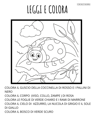# **LEGGI E COLORA**



COLORA IL GUSCIO DELLA COCCINELLA DI ROSSO E I PALLINI DI **NERO** COLORA IL CORPO (VISO, COLLO, ZAMPE ) DI ROSA

COLORA LE FOGLIE DI VERDE CHIARO E I RAMI DI MARRONE COLORA IL CIELO DI AZZURRO, LA NUCOLA DI GRIGIO E IL SOLE DI GIALLO

COLORA IL BOSCO DI VERDE SCURO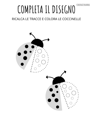# COMPLETA IL DISEGNO

### RICALCA LE TRACCE E COLORA LE COCCINELLE

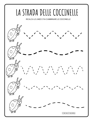## LA STRADA DELLE COCCINELLE

RICALCA LE LINEE E FAI CAMMINARE LE COCCINELLE

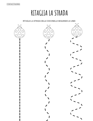**RITAGLIA LA STRADA**

#### RITAGLIA LA STRADA DELLE COCCINELLE SEGUENDO LE LINEE

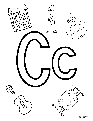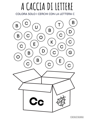## **A CACCIADI LETTERE**

COLORA SOLO I CERCHI CON LA LETTERA C

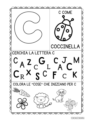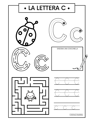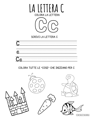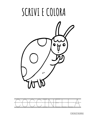# **SCRIVI E COLORA**



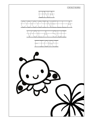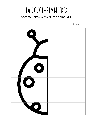### LA COCCI-SIMMETRIA

#### COMPLETA IL DISEGNO CON L'AIUTO DEI QUADRATINI

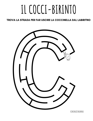# **IL COCCI-BIRINTO**

#### TROVA LA STRADA PER FAR USCIRE LA COCCINELLA DAL LABIRITNO

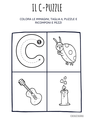## IL C-PUZZLE

### COLORA LE IMMAGINI, TAGLIA IL PUZZLE E **RICOMPONI E PEZZI**

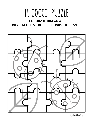## IL COCCI-PUZZLE

### **COLORA IL DISEGNO** RITAGLIA LE TESSERE E RICOSTRUISCI IL PUZZLE